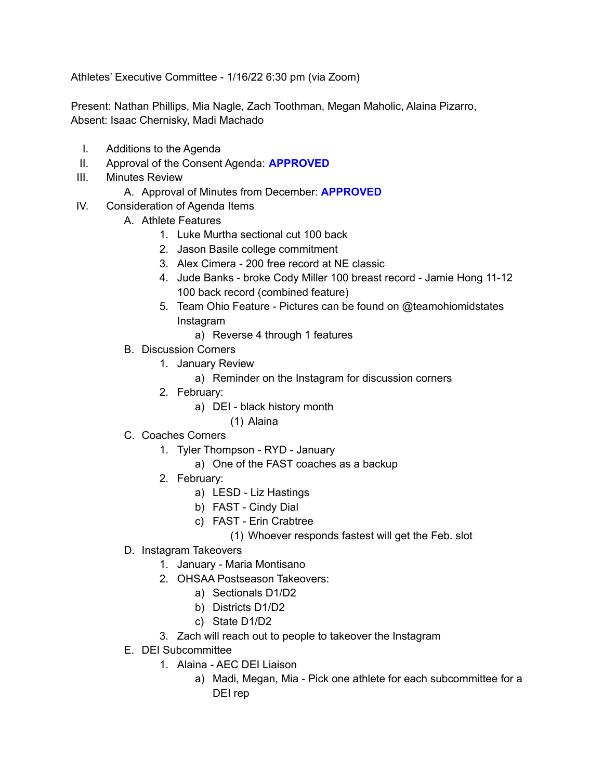Athletes' Executive Committee - 1/16/22 6:30 pm (via Zoom)

Present: Nathan Phillips, Mia Nagle, Zach Toothman, Megan Maholic, Alaina Pizarro, Absent: Isaac Chernisky, Madi Machado

- I. Additions to the Agenda
- II. Approval of the Consent Agenda: **APPROVED**
- III. Minutes Review
	- A. Approval of Minutes from December: **APPROVED**
- IV. Consideration of Agenda Items
	- A. Athlete Features
		- 1. Luke Murtha sectional cut 100 back
		- 2. Jason Basile college commitment
		- 3. Alex Cimera 200 free record at NE classic
		- 4. Jude Banks broke Cody Miller 100 breast record Jamie Hong 11-12 100 back record (combined feature)
		- 5. Team Ohio Feature Pictures can be found on @teamohiomidstates Instagram
			- a) Reverse 4 through 1 features
	- B. Discussion Corners
		- 1. January Review
			- a) Reminder on the Instagram for discussion corners
		- 2. February:
			- a) DEI black history month
				- (1) Alaina
	- C. Coaches Corners
		- 1. Tyler Thompson RYD January
			- a) One of the FAST coaches as a backup
		- 2. February:
			- a) LESD Liz Hastings
			- b) FAST Cindy Dial
			- c) FAST Erin Crabtree
				- (1) Whoever responds fastest will get the Feb. slot
	- D. Instagram Takeovers
		- 1. January Maria Montisano
		- 2. OHSAA Postseason Takeovers:
			- a) Sectionals D1/D2
			- b) Districts D1/D2
			- c) State D1/D2
		- 3. Zach will reach out to people to takeover the Instagram
	- E. DEI Subcommittee
		- 1. Alaina AEC DEI Liaison
			- a) Madi, Megan, Mia Pick one athlete for each subcommittee for a DEI rep